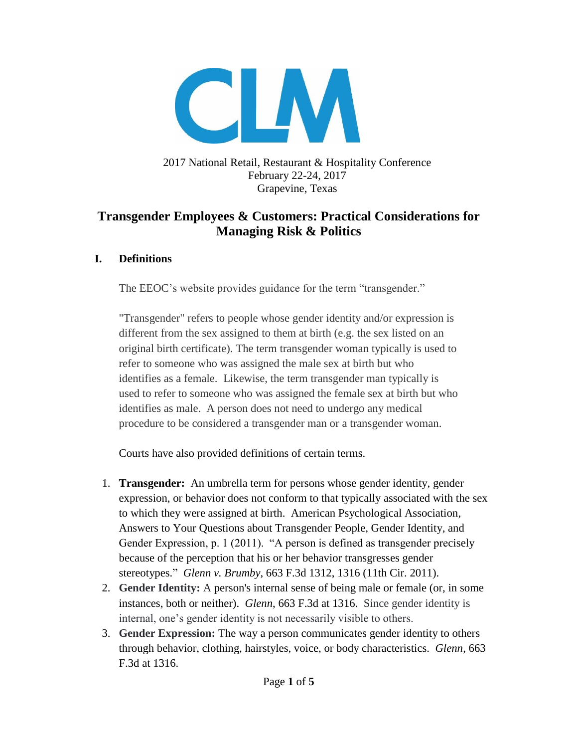

## 2017 National Retail, Restaurant & Hospitality Conference February 22-24, 2017 Grapevine, Texas

## **Transgender Employees & Customers: Practical Considerations for Managing Risk & Politics**

## **I. Definitions**

The EEOC's website provides guidance for the term "transgender."

"Transgender" refers to people whose gender identity and/or expression is different from the sex assigned to them at birth (e.g. the sex listed on an original birth certificate). The term transgender woman typically is used to refer to someone who was assigned the male sex at birth but who identifies as a female. Likewise, the term transgender man typically is used to refer to someone who was assigned the female sex at birth but who identifies as male. A person does not need to undergo any medical procedure to be considered a transgender man or a transgender woman.

Courts have also provided definitions of certain terms.

- 1. **Transgender:** An umbrella term for persons whose gender identity, gender expression, or behavior does not conform to that typically associated with the sex to which they were assigned at birth. American Psychological Association, Answers to Your Questions about Transgender People, Gender Identity, and Gender Expression, p. 1 (2011). "A person is defined as transgender precisely because of the perception that his or her behavior transgresses gender stereotypes." *Glenn v. Brumby*, 663 F.3d 1312, 1316 (11th Cir. 2011).
- 2. **Gender Identity:** A person's internal sense of being male or female (or, in some instances, both or neither). *Glenn*, 663 F.3d at 1316. Since gender identity is internal, one's gender identity is not necessarily visible to others.
- 3. **Gender Expression:** The way a person communicates gender identity to others through behavior, clothing, hairstyles, voice, or body characteristics. *Glenn*, 663 F.3d at 1316.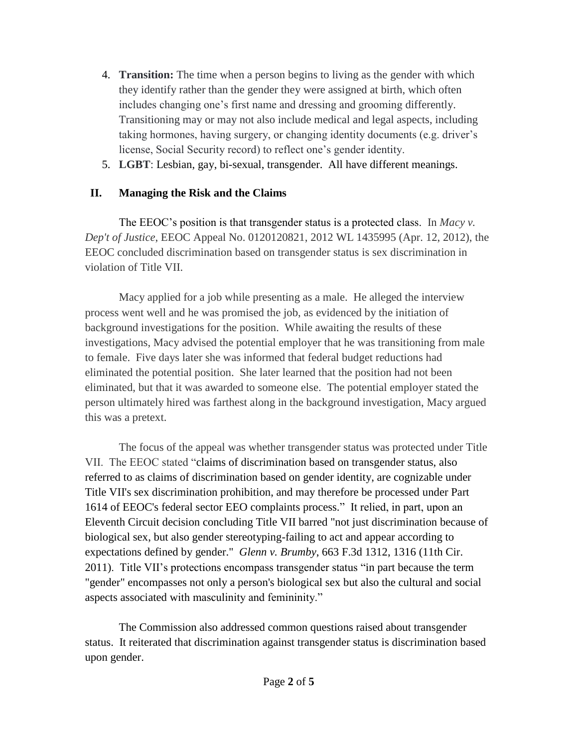- 4. **Transition:** The time when a person begins to living as the gender with which they identify rather than the gender they were assigned at birth, which often includes changing one's first name and dressing and grooming differently. Transitioning may or may not also include medical and legal aspects, including taking hormones, having surgery, or changing identity documents (e.g. driver's license, Social Security record) to reflect one's gender identity.
- 5. **LGBT**: Lesbian, gay, bi-sexual, transgender. All have different meanings.

## **II. Managing the Risk and the Claims**

The EEOC's position is that transgender status is a protected class. In *Macy v. Dep't of Justice*, EEOC Appeal No. 0120120821, 2012 WL 1435995 (Apr. 12, 2012), the EEOC concluded discrimination based on transgender status is sex discrimination in violation of Title VII.

Macy applied for a job while presenting as a male. He alleged the interview process went well and he was promised the job, as evidenced by the initiation of background investigations for the position. While awaiting the results of these investigations, Macy advised the potential employer that he was transitioning from male to female. Five days later she was informed that federal budget reductions had eliminated the potential position. She later learned that the position had not been eliminated, but that it was awarded to someone else. The potential employer stated the person ultimately hired was farthest along in the background investigation, Macy argued this was a pretext.

The focus of the appeal was whether transgender status was protected under Title VII. The EEOC stated "claims of discrimination based on transgender status, also referred to as claims of discrimination based on gender identity, are cognizable under Title VII's sex discrimination prohibition, and may therefore be processed under Part 1614 of EEOC's federal sector EEO complaints process." It relied, in part, upon an Eleventh Circuit decision concluding Title VII barred "not just discrimination because of biological sex, but also gender stereotyping-failing to act and appear according to expectations defined by gender." *Glenn v. Brumby*, 663 F.3d 1312, 1316 (11th Cir. 2011). Title VII's protections encompass transgender status "in part because the term "gender" encompasses not only a person's biological sex but also the cultural and social aspects associated with masculinity and femininity."

The Commission also addressed common questions raised about transgender status. It reiterated that discrimination against transgender status is discrimination based upon gender.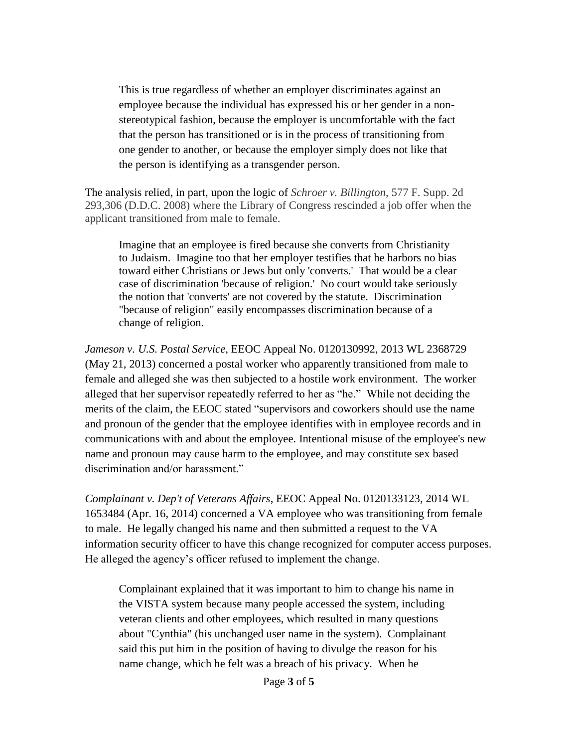This is true regardless of whether an employer discriminates against an employee because the individual has expressed his or her gender in a nonstereotypical fashion, because the employer is uncomfortable with the fact that the person has transitioned or is in the process of transitioning from one gender to another, or because the employer simply does not like that the person is identifying as a transgender person.

The analysis relied, in part, upon the logic of *Schroer v. Billington*, 577 F. Supp. 2d 293,306 (D.D.C. 2008) where the Library of Congress rescinded a job offer when the applicant transitioned from male to female.

Imagine that an employee is fired because she converts from Christianity to Judaism. Imagine too that her employer testifies that he harbors no bias toward either Christians or Jews but only 'converts.' That would be a clear case of discrimination 'because of religion.' No court would take seriously the notion that 'converts' are not covered by the statute. Discrimination "because of religion" easily encompasses discrimination because of a change of religion.

*Jameson v. U.S. Postal Service*, EEOC Appeal No. 0120130992, 2013 WL 2368729 (May 21, 2013) concerned a postal worker who apparently transitioned from male to female and alleged she was then subjected to a hostile work environment. The worker alleged that her supervisor repeatedly referred to her as "he." While not deciding the merits of the claim, the EEOC stated "supervisors and coworkers should use the name and pronoun of the gender that the employee identifies with in employee records and in communications with and about the employee. Intentional misuse of the employee's new name and pronoun may cause harm to the employee, and may constitute sex based discrimination and/or harassment."

*Complainant v. Dep't of Veterans Affairs*, EEOC Appeal No. 0120133123, 2014 WL 1653484 (Apr. 16, 2014) concerned a VA employee who was transitioning from female to male. He legally changed his name and then submitted a request to the VA information security officer to have this change recognized for computer access purposes. He alleged the agency's officer refused to implement the change.

Complainant explained that it was important to him to change his name in the VISTA system because many people accessed the system, including veteran clients and other employees, which resulted in many questions about "Cynthia" (his unchanged user name in the system). Complainant said this put him in the position of having to divulge the reason for his name change, which he felt was a breach of his privacy. When he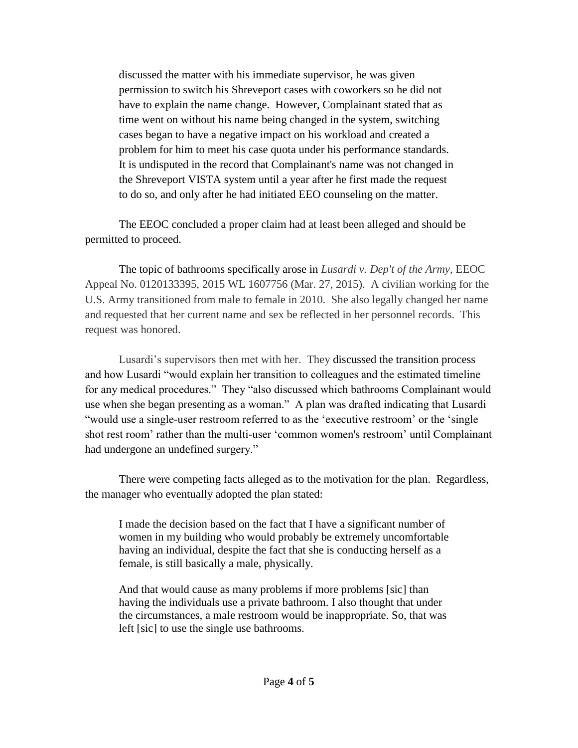discussed the matter with his immediate supervisor, he was given permission to switch his Shreveport cases with coworkers so he did not have to explain the name change. However, Complainant stated that as time went on without his name being changed in the system, switching cases began to have a negative impact on his workload and created a problem for him to meet his case quota under his performance standards. It is undisputed in the record that Complainant's name was not changed in the Shreveport VISTA system until a year after he first made the request to do so, and only after he had initiated EEO counseling on the matter.

The EEOC concluded a proper claim had at least been alleged and should be permitted to proceed.

The topic of bathrooms specifically arose in *Lusardi v. Dep't of the Army*, EEOC Appeal No. 0120133395, 2015 WL 1607756 (Mar. 27, 2015). A civilian working for the U.S. Army transitioned from male to female in 2010. She also legally changed her name and requested that her current name and sex be reflected in her personnel records. This request was honored.

Lusardi's supervisors then met with her. They discussed the transition process and how Lusardi "would explain her transition to colleagues and the estimated timeline for any medical procedures." They "also discussed which bathrooms Complainant would use when she began presenting as a woman." A plan was drafted indicating that Lusardi "would use a single-user restroom referred to as the 'executive restroom' or the 'single shot rest room' rather than the multi-user 'common women's restroom' until Complainant had undergone an undefined surgery."

There were competing facts alleged as to the motivation for the plan. Regardless, the manager who eventually adopted the plan stated:

I made the decision based on the fact that I have a significant number of women in my building who would probably be extremely uncomfortable having an individual, despite the fact that she is conducting herself as a female, is still basically a male, physically.

And that would cause as many problems if more problems [sic] than having the individuals use a private bathroom. I also thought that under the circumstances, a male restroom would be inappropriate. So, that was left [sic] to use the single use bathrooms.